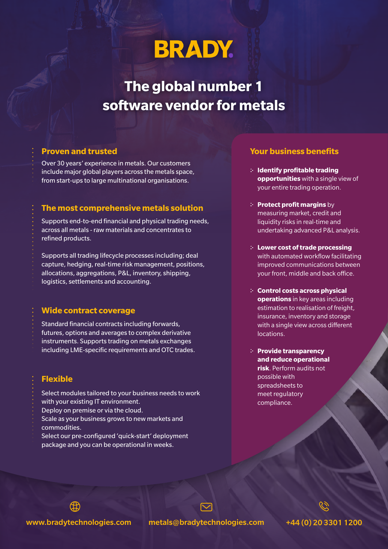# **BRADY.**

### **The global number 1 software vendor for metals**

Over 30 years' experience in metals. Our customers include major global players across the metals space, from start-ups to large multinational organisations.

#### **The most comprehensive metals solution**

Supports end-to-end financial and physical trading needs, across all metals - raw materials and concentrates to refined products.

Supports all trading lifecycle processes including; deal capture, hedging, real-time risk management, positions, allocations, aggregations, P&L, inventory, shipping, logistics, settlements and accounting.

#### **Wide contract coverage**

Standard financial contracts including forwards, futures, options and averages to complex derivative instruments. Supports trading on metals exchanges including LME-specific requirements and OTC trades.

### **Flexible**

- Select modules tailored to your business needs to work with your existing IT environment.
- Deploy on premise or via the cloud.
- Scale as your business grows to new markets and commodities.
- Select our pre-configured 'quick-start' deployment package and you can be operational in weeks.

#### **Proven and trusted Proven and trusted** *Your business benefits*

- **Identify profitable trading opportunities** with a single view of your entire trading operation.
- **Protect profit margins by** measuring market, credit and liquidity risks in real-time and undertaking advanced P&L analysis.
- **Lower cost of trade processing**  with automated workflow facilitating improved communications between your front, middle and back office.
- **Control costs across physical operations** in key areas including estimation to realisation of freight, insurance, inventory and storage with a single view across different locations.
- **Provide transparency and reduce operational risk**. Perform audits not possible with spreadsheets to meet regulatory compliance.

www.bradytechnologies.com metals@bradytechnologies.com +44 (0) 20 3301 1200